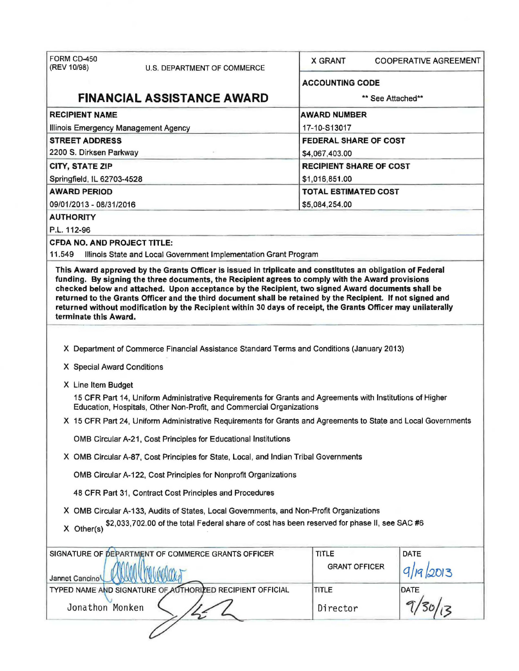| FORM CD-450<br>(REV 10/98)                   | U.S. DEPARTMENT OF COMMERCE                                                                                                                                                       | <b>X GRANT</b>                 | <b>COOPERATIVE AGREEMENT</b>         |  |
|----------------------------------------------|-----------------------------------------------------------------------------------------------------------------------------------------------------------------------------------|--------------------------------|--------------------------------------|--|
|                                              |                                                                                                                                                                                   | <b>ACCOUNTING CODE</b>         |                                      |  |
|                                              | <b>FINANCIAL ASSISTANCE AWARD</b>                                                                                                                                                 |                                | ** See Attached**                    |  |
| <b>RECIPIENT NAME</b>                        |                                                                                                                                                                                   | <b>AWARD NUMBER</b>            |                                      |  |
| Illinois Emergency Management Agency         |                                                                                                                                                                                   | 17-10-S13017                   |                                      |  |
| <b>STREET ADDRESS</b>                        |                                                                                                                                                                                   | <b>FEDERAL SHARE OF COST</b>   |                                      |  |
| 2200 S. Dirksen Parkway                      |                                                                                                                                                                                   | \$4,067,403.00                 |                                      |  |
| <b>CITY, STATE ZIP</b>                       |                                                                                                                                                                                   | <b>RECIPIENT SHARE OF COST</b> |                                      |  |
| Springfield, IL 62703-4528                   |                                                                                                                                                                                   | \$1,016,851.00                 |                                      |  |
| <b>AWARD PERIOD</b>                          |                                                                                                                                                                                   | <b>TOTAL ESTIMATED COST</b>    |                                      |  |
| 09/01/2013 - 08/31/2016                      |                                                                                                                                                                                   | \$5,084,254.00                 |                                      |  |
| <b>AUTHORITY</b>                             |                                                                                                                                                                                   |                                |                                      |  |
| P.L. 112-96                                  |                                                                                                                                                                                   |                                |                                      |  |
| <b>CFDA NO. AND PROJECT TITLE:</b><br>11.549 | Illinois State and Local Government Implementation Grant Program                                                                                                                  |                                |                                      |  |
|                                              | This Award approved by the Grants Officer is issued in triplicate and constitutes an obligation of Federal                                                                        |                                |                                      |  |
| terminate this Award.                        |                                                                                                                                                                                   |                                |                                      |  |
|                                              | X Department of Commerce Financial Assistance Standard Terms and Conditions (January 2013)                                                                                        |                                |                                      |  |
|                                              |                                                                                                                                                                                   |                                |                                      |  |
| X Special Award Conditions                   |                                                                                                                                                                                   |                                |                                      |  |
| X Line Item Budget                           |                                                                                                                                                                                   |                                |                                      |  |
|                                              | 15 CFR Part 14, Uniform Administrative Requirements for Grants and Agreements with Institutions of Higher<br>Education, Hospitals, Other Non-Profit, and Commercial Organizations |                                |                                      |  |
|                                              | X 15 CFR Part 24, Uniform Administrative Requirements for Grants and Agreements to State and Local Governments                                                                    |                                |                                      |  |
|                                              | OMB Circular A-21, Cost Principles for Educational Institutions                                                                                                                   |                                |                                      |  |
|                                              | X OMB Circular A-87, Cost Principles for State, Local, and Indian Tribal Governments                                                                                              |                                |                                      |  |
|                                              | OMB Circular A-122, Cost Principles for Nonprofit Organizations                                                                                                                   |                                |                                      |  |
|                                              | 48 CFR Part 31, Contract Cost Principles and Procedures                                                                                                                           |                                |                                      |  |
|                                              | X OMB Circular A-133, Audits of States, Local Governments, and Non-Profit Organizations                                                                                           |                                |                                      |  |
| $X$ Other(s)                                 | \$2,033,702.00 of the total Federal share of cost has been reserved for phase II, see SAC #6                                                                                      |                                |                                      |  |
| Jannet Cancino                               | SIGNATURE OF DEPARTMENT OF COMMERCE GRANTS OFFICER                                                                                                                                | TITLE<br><b>GRANT OFFICER</b>  | <b>DATE</b><br>$\frac{9}{19}$ (2013) |  |
|                                              | TYPED NAME AND SIGNATURE OF AUTHORIZED RECIPIENT OFFICIAL                                                                                                                         | TITLE                          |                                      |  |
| Jonathon Monken                              |                                                                                                                                                                                   | Director                       |                                      |  |
|                                              |                                                                                                                                                                                   |                                |                                      |  |